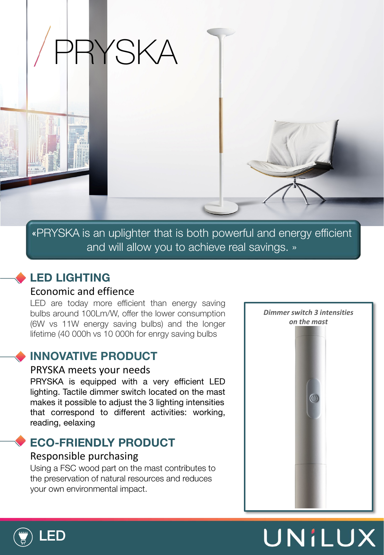

«PRYSKA is an uplighter that is both powerful and energy efficient and will allow you to achieve real savings. »

# **LED LIGHTING**

### Economic and effience

LED are today more efficient than energy saving bulbs around 100Lm/W, offer the lower consumption (6W vs 11W energy saving bulbs) and the longer lifetime (40 000h vs 10 000h for enrgy saving bulbs

### **INNOVATIVE PRODUCT**

#### PRYSKA meets your needs

PRYSKA is equipped with a very efficient LED lighting. Tactile dimmer switch located on the mast makes it possible to adjust the 3 lighting intensities that correspond to different activities: working, reading, eelaxing

## **ECO-FRIENDLY PRODUCT**

### Responsible purchasing

Using a FSC wood part on the mast contributes to the preservation of natural resources and reduces your own environmental impact.



UNILUX